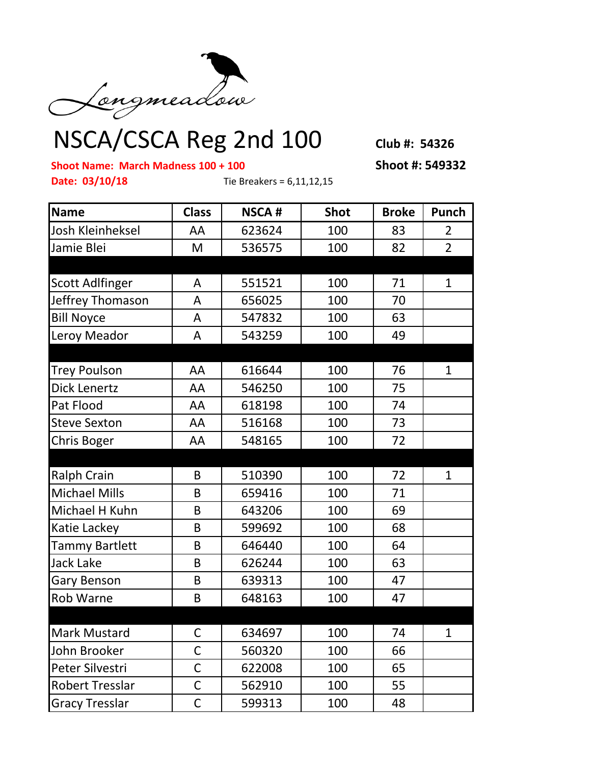

## NSCA/CSCA Reg 2nd 100 **Club #: 54326**

**Shoot Name: March Madness 100 + 100 Shoot #: 549332**

**Date: 03/10/18** Tie Breakers = 6,11,12,15

| <b>Name</b>            | <b>Class</b> | <b>NSCA#</b> | <b>Shot</b> | <b>Broke</b> | Punch          |
|------------------------|--------------|--------------|-------------|--------------|----------------|
| Josh Kleinheksel       | AA           | 623624       | 100         | 83           | $\overline{2}$ |
| Jamie Blei             | M            | 536575       | 100         | 82           | $\overline{2}$ |
|                        |              |              |             |              |                |
| <b>Scott Adlfinger</b> | A            | 551521       | 100         | 71           | $\mathbf{1}$   |
| Jeffrey Thomason       | A            | 656025       | 100         | 70           |                |
| <b>Bill Noyce</b>      | A            | 547832       | 100         | 63           |                |
| Leroy Meador           | A            | 543259       | 100         | 49           |                |
|                        |              |              |             |              |                |
| <b>Trey Poulson</b>    | AA           | 616644       | 100         | 76           | $\mathbf{1}$   |
| <b>Dick Lenertz</b>    | AA           | 546250       | 100         | 75           |                |
| Pat Flood              | AA           | 618198       | 100         | 74           |                |
| <b>Steve Sexton</b>    | AA           | 516168       | 100         | 73           |                |
| <b>Chris Boger</b>     | AA           | 548165       | 100         | 72           |                |
|                        |              |              |             |              |                |
| <b>Ralph Crain</b>     | B            | 510390       | 100         | 72           | $\mathbf{1}$   |
| <b>Michael Mills</b>   | B            | 659416       | 100         | 71           |                |
| Michael H Kuhn         | B            | 643206       | 100         | 69           |                |
| Katie Lackey           | B            | 599692       | 100         | 68           |                |
| <b>Tammy Bartlett</b>  | B            | 646440       | 100         | 64           |                |
| Jack Lake              | B            | 626244       | 100         | 63           |                |
| Gary Benson            | B            | 639313       | 100         | 47           |                |
| <b>Rob Warne</b>       | B            | 648163       | 100         | 47           |                |
|                        |              |              |             |              |                |
| Mark Mustard           | $\mathsf{C}$ | 634697       | 100         | 74           | $\mathbf{1}$   |
| John Brooker           | C            | 560320       | 100         | 66           |                |
| Peter Silvestri        | $\mathsf{C}$ | 622008       | 100         | 65           |                |
| <b>Robert Tresslar</b> | $\mathsf C$  | 562910       | 100         | 55           |                |
| <b>Gracy Tresslar</b>  | $\mathsf C$  | 599313       | 100         | 48           |                |